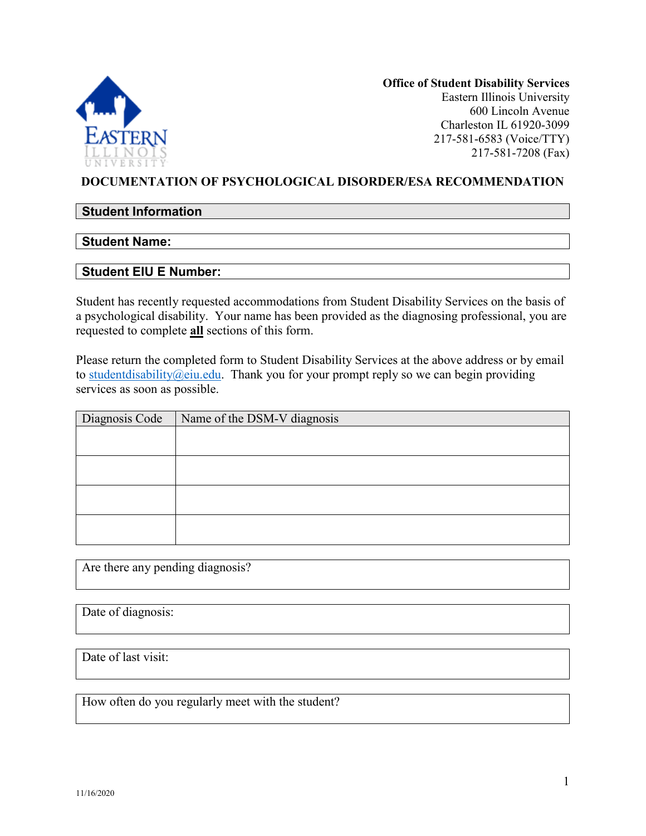

**Office of Student Disability Services**  Eastern Illinois University 600 Lincoln Avenue Charleston IL 61920-3099 217-581-6583 (Voice/TTY) 217-581-7208 (Fax)

## **DOCUMENTATION OF PSYCHOLOGICAL DISORDER/ESA RECOMMENDATION**

## **Student Information**

#### **Student Name:**

#### **Student EIU E Number:**

Student has recently requested accommodations from Student Disability Services on the basis of a psychological disability. Your name has been provided as the diagnosing professional, you are requested to complete **all** sections of this form.

Please return the completed form to Student Disability Services at the above address or by email to student disability  $@$  eiu.edu. Thank you for your prompt reply so we can begin providing services as soon as possible.

| Diagnosis Code | Name of the DSM-V diagnosis |
|----------------|-----------------------------|
|                |                             |
|                |                             |
|                |                             |
|                |                             |
|                |                             |
|                |                             |
|                |                             |
|                |                             |

Are there any pending diagnosis?

Date of diagnosis:

Date of last visit:

How often do you regularly meet with the student?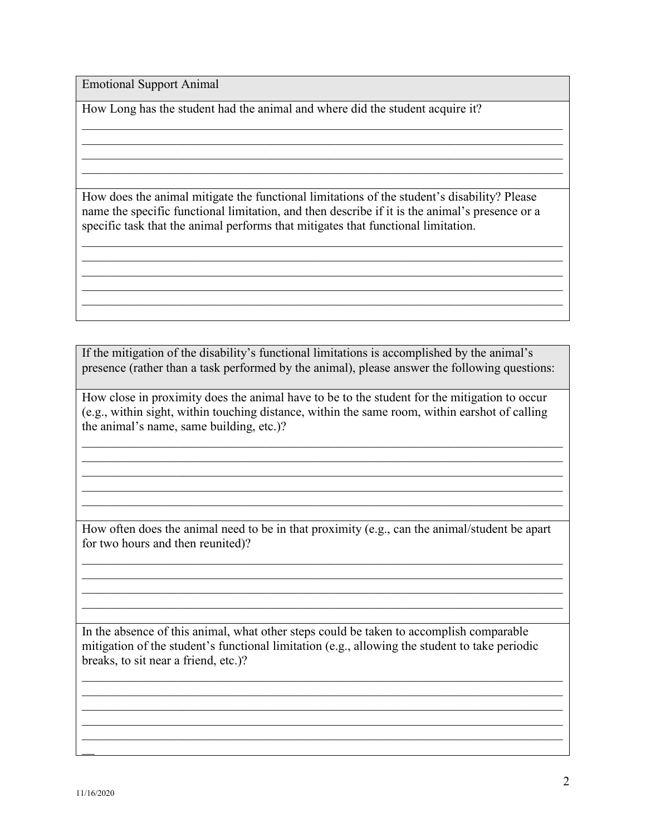Emotional Support Animal

How Long has the student had the animal and where did the student acquire it?

How does the animal mitigate the functional limitations of the student's disability? Please name the specific functional limitation, and then describe if it is the animal's presence or a specific task that the animal performs that mitigates that functional limitation.

\_\_\_\_\_\_\_\_\_\_\_\_\_\_\_\_\_\_\_\_\_\_\_\_\_\_\_\_\_\_\_\_\_\_\_\_\_\_\_\_\_\_\_\_\_\_\_\_\_\_\_\_\_\_\_\_\_\_\_\_\_\_\_\_\_\_\_\_\_\_\_\_\_\_\_\_ \_\_\_\_\_\_\_\_\_\_\_\_\_\_\_\_\_\_\_\_\_\_\_\_\_\_\_\_\_\_\_\_\_\_\_\_\_\_\_\_\_\_\_\_\_\_\_\_\_\_\_\_\_\_\_\_\_\_\_\_\_\_\_\_\_\_\_\_\_\_\_\_\_\_\_\_

\_\_\_\_\_\_\_\_\_\_\_\_\_\_\_\_\_\_\_\_\_\_\_\_\_\_\_\_\_\_\_\_\_\_\_\_\_\_\_\_\_\_\_\_\_\_\_\_\_\_\_\_\_\_\_\_\_\_\_\_\_\_\_\_\_\_\_\_\_\_\_\_\_\_\_\_

\_\_\_\_\_\_\_\_\_\_\_\_\_\_\_\_\_\_\_\_\_\_\_\_\_\_\_\_\_\_\_\_\_\_\_\_\_\_\_\_\_\_\_\_\_\_\_\_\_\_\_\_\_\_\_\_\_\_\_\_\_\_\_\_\_\_\_\_\_\_\_\_\_\_\_\_

\_\_\_\_\_\_\_\_\_\_\_\_\_\_\_\_\_\_\_\_\_\_\_\_\_\_\_\_\_\_\_\_\_\_\_\_\_\_\_\_\_\_\_\_\_\_\_\_\_\_\_\_\_\_\_\_\_\_\_\_\_\_\_\_\_\_\_\_\_\_\_\_\_\_\_\_  $\mathcal{L}_\mathcal{L} = \mathcal{L}_\mathcal{L} = \mathcal{L}_\mathcal{L} = \mathcal{L}_\mathcal{L} = \mathcal{L}_\mathcal{L} = \mathcal{L}_\mathcal{L} = \mathcal{L}_\mathcal{L} = \mathcal{L}_\mathcal{L} = \mathcal{L}_\mathcal{L} = \mathcal{L}_\mathcal{L} = \mathcal{L}_\mathcal{L} = \mathcal{L}_\mathcal{L} = \mathcal{L}_\mathcal{L} = \mathcal{L}_\mathcal{L} = \mathcal{L}_\mathcal{L} = \mathcal{L}_\mathcal{L} = \mathcal{L}_\mathcal{L}$ 

If the mitigation of the disability's functional limitations is accomplished by the animal's presence (rather than a task performed by the animal), please answer the following questions:

How close in proximity does the animal have to be to the student for the mitigation to occur (e.g., within sight, within touching distance, within the same room, within earshot of calling the animal's name, same building, etc.)?

\_\_\_\_\_\_\_\_\_\_\_\_\_\_\_\_\_\_\_\_\_\_\_\_\_\_\_\_\_\_\_\_\_\_\_\_\_\_\_\_\_\_\_\_\_\_\_\_\_\_\_\_\_\_\_\_\_\_\_\_\_\_\_\_\_\_\_\_\_\_\_\_\_\_\_\_

\_\_\_\_\_\_\_\_\_\_\_\_\_\_\_\_\_\_\_\_\_\_\_\_\_\_\_\_\_\_\_\_\_\_\_\_\_\_\_\_\_\_\_\_\_\_\_\_\_\_\_\_\_\_\_\_\_\_\_\_\_\_\_\_\_\_\_\_\_\_\_\_\_\_\_\_ \_\_\_\_\_\_\_\_\_\_\_\_\_\_\_\_\_\_\_\_\_\_\_\_\_\_\_\_\_\_\_\_\_\_\_\_\_\_\_\_\_\_\_\_\_\_\_\_\_\_\_\_\_\_\_\_\_\_\_\_\_\_\_\_\_\_\_\_\_\_\_\_\_\_\_\_

How often does the animal need to be in that proximity (e.g., can the animal/student be apart for two hours and then reunited)?

\_\_\_\_\_\_\_\_\_\_\_\_\_\_\_\_\_\_\_\_\_\_\_\_\_\_\_\_\_\_\_\_\_\_\_\_\_\_\_\_\_\_\_\_\_\_\_\_\_\_\_\_\_\_\_\_\_\_\_\_\_\_\_\_\_\_\_\_\_\_\_\_\_\_\_\_ \_\_\_\_\_\_\_\_\_\_\_\_\_\_\_\_\_\_\_\_\_\_\_\_\_\_\_\_\_\_\_\_\_\_\_\_\_\_\_\_\_\_\_\_\_\_\_\_\_\_\_\_\_\_\_\_\_\_\_\_\_\_\_\_\_\_\_\_\_\_\_\_\_\_\_\_ \_\_\_\_\_\_\_\_\_\_\_\_\_\_\_\_\_\_\_\_\_\_\_\_\_\_\_\_\_\_\_\_\_\_\_\_\_\_\_\_\_\_\_\_\_\_\_\_\_\_\_\_\_\_\_\_\_\_\_\_\_\_\_\_\_\_\_\_\_\_\_\_\_\_\_\_  $\mathcal{L}_\mathcal{L} = \mathcal{L}_\mathcal{L} = \mathcal{L}_\mathcal{L} = \mathcal{L}_\mathcal{L} = \mathcal{L}_\mathcal{L} = \mathcal{L}_\mathcal{L} = \mathcal{L}_\mathcal{L} = \mathcal{L}_\mathcal{L} = \mathcal{L}_\mathcal{L} = \mathcal{L}_\mathcal{L} = \mathcal{L}_\mathcal{L} = \mathcal{L}_\mathcal{L} = \mathcal{L}_\mathcal{L} = \mathcal{L}_\mathcal{L} = \mathcal{L}_\mathcal{L} = \mathcal{L}_\mathcal{L} = \mathcal{L}_\mathcal{L}$ 

In the absence of this animal, what other steps could be taken to accomplish comparable mitigation of the student's functional limitation (e.g., allowing the student to take periodic breaks, to sit near a friend, etc.)?

\_\_\_\_\_\_\_\_\_\_\_\_\_\_\_\_\_\_\_\_\_\_\_\_\_\_\_\_\_\_\_\_\_\_\_\_\_\_\_\_\_\_\_\_\_\_\_\_\_\_\_\_\_\_\_\_\_\_\_\_\_\_\_\_\_\_\_\_\_\_\_\_\_\_\_\_  $\mathcal{L}_\mathcal{L} = \mathcal{L}_\mathcal{L} = \mathcal{L}_\mathcal{L} = \mathcal{L}_\mathcal{L} = \mathcal{L}_\mathcal{L} = \mathcal{L}_\mathcal{L} = \mathcal{L}_\mathcal{L} = \mathcal{L}_\mathcal{L} = \mathcal{L}_\mathcal{L} = \mathcal{L}_\mathcal{L} = \mathcal{L}_\mathcal{L} = \mathcal{L}_\mathcal{L} = \mathcal{L}_\mathcal{L} = \mathcal{L}_\mathcal{L} = \mathcal{L}_\mathcal{L} = \mathcal{L}_\mathcal{L} = \mathcal{L}_\mathcal{L}$ 

\_\_\_\_\_\_\_\_\_\_\_\_\_\_\_\_\_\_\_\_\_\_\_\_\_\_\_\_\_\_\_\_\_\_\_\_\_\_\_\_\_\_\_\_\_\_\_\_\_\_\_\_\_\_\_\_\_\_\_\_\_\_\_\_\_\_\_\_\_\_\_\_\_\_\_\_

 $\overline{\phantom{a}}$